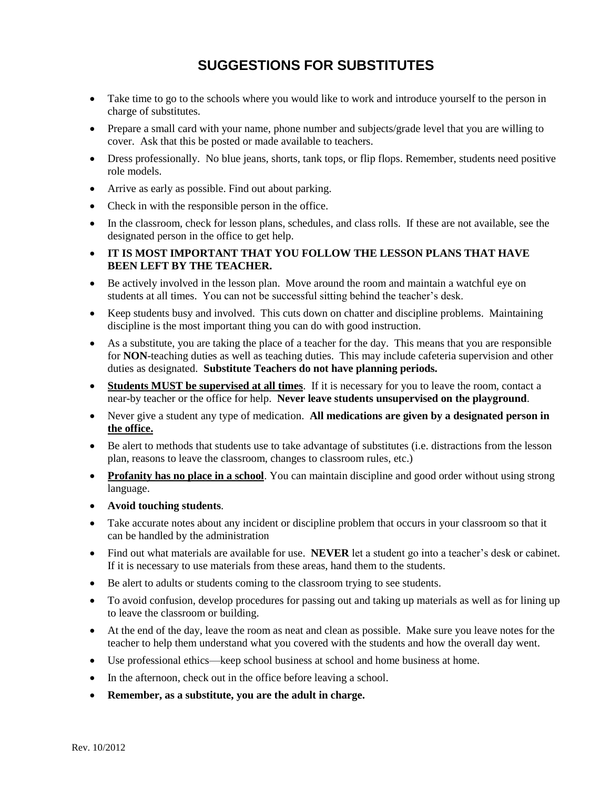## **SUGGESTIONS FOR SUBSTITUTES**

- Take time to go to the schools where you would like to work and introduce yourself to the person in charge of substitutes.
- Prepare a small card with your name, phone number and subjects/grade level that you are willing to cover. Ask that this be posted or made available to teachers.
- Dress professionally. No blue jeans, shorts, tank tops, or flip flops. Remember, students need positive role models.
- Arrive as early as possible. Find out about parking.
- Check in with the responsible person in the office.
- In the classroom, check for lesson plans, schedules, and class rolls. If these are not available, see the designated person in the office to get help.
- **IT IS MOST IMPORTANT THAT YOU FOLLOW THE LESSON PLANS THAT HAVE BEEN LEFT BY THE TEACHER.**
- Be actively involved in the lesson plan. Move around the room and maintain a watchful eye on students at all times. You can not be successful sitting behind the teacher's desk.
- Keep students busy and involved. This cuts down on chatter and discipline problems. Maintaining discipline is the most important thing you can do with good instruction.
- As a substitute, you are taking the place of a teacher for the day. This means that you are responsible for **NON**-teaching duties as well as teaching duties. This may include cafeteria supervision and other duties as designated. **Substitute Teachers do not have planning periods.**
- **Students MUST be supervised at all times**. If it is necessary for you to leave the room, contact a near-by teacher or the office for help. **Never leave students unsupervised on the playground**.
- Never give a student any type of medication. **All medications are given by a designated person in the office.**
- Be alert to methods that students use to take advantage of substitutes (i.e. distractions from the lesson plan, reasons to leave the classroom, changes to classroom rules, etc.)
- **Profanity has no place in a school**. You can maintain discipline and good order without using strong language.
- **Avoid touching students**.
- Take accurate notes about any incident or discipline problem that occurs in your classroom so that it can be handled by the administration
- Find out what materials are available for use. **NEVER** let a student go into a teacher's desk or cabinet. If it is necessary to use materials from these areas, hand them to the students.
- Be alert to adults or students coming to the classroom trying to see students.
- To avoid confusion, develop procedures for passing out and taking up materials as well as for lining up to leave the classroom or building.
- At the end of the day, leave the room as neat and clean as possible. Make sure you leave notes for the teacher to help them understand what you covered with the students and how the overall day went.
- Use professional ethics—keep school business at school and home business at home.
- In the afternoon, check out in the office before leaving a school.
- **Remember, as a substitute, you are the adult in charge.**